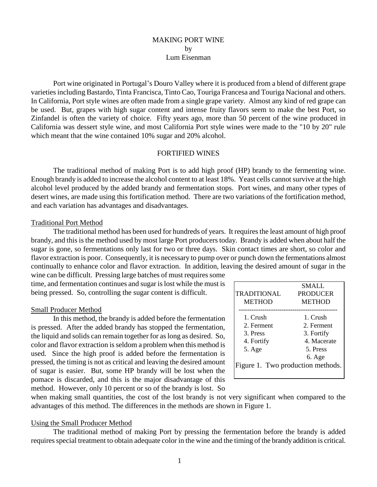# MAKING PORT WINE by Lum Eisenman

Port wine originated in Portugal's Douro Valley where it is produced from a blend of different grape varieties including Bastardo, Tinta Francisca, Tinto Cao, Touriga Francesa and Touriga Nacional and others. In California, Port style wines are often made from a single grape variety. Almost any kind of red grape can be used. But, grapes with high sugar content and intense fruity flavors seem to make the best Port, so Zinfandel is often the variety of choice. Fifty years ago, more than 50 percent of the wine produced in California was dessert style wine, and most California Port style wines were made to the "10 by 20" rule which meant that the wine contained 10% sugar and 20% alcohol.

## FORTIFIED WINES

The traditional method of making Port is to add high proof (HP) brandy to the fermenting wine. Enough brandy is added to increase the alcohol content to at least 18%. Yeast cells cannot survive at the high alcohol level produced by the added brandy and fermentation stops. Port wines, and many other types of desert wines, are made using this fortification method. There are two variations of the fortification method, and each variation has advantages and disadvantages.

#### Traditional Port Method

The traditional method has been used for hundreds of years. It requires the least amount of high proof brandy, and this is the method used by most large Port producers today. Brandy is added when about half the sugar is gone, so fermentations only last for two or three days. Skin contact times are short, so color and flavor extraction is poor. Consequently, it is necessary to pump over or punch down the fermentations almost continually to enhance color and flavor extraction. In addition, leaving the desired amount of sugar in the

wine can be difficult. Pressing large batches of must requires some time, and fermentation continues and sugar is lost while the must is being pressed. So, controlling the sugar content is difficult.

#### Small Producer Method

In this method, the brandy is added before the fermentation is pressed. After the added brandy has stopped the fermentation, the liquid and solids can remain together for as long as desired. So, color and flavor extraction is seldom a problem when this method is used. Since the high proof is added before the fermentation is pressed, the timing is not as critical and leaving the desired amount of sugar is easier. But, some HP brandy will be lost when the pomace is discarded, and this is the major disadvantage of this method. However, only 10 percent or so of the brandy is lost. So

|                                   | <b>SMALL</b>    |  |  |
|-----------------------------------|-----------------|--|--|
| TRADITIONAL                       | <b>PRODUCER</b> |  |  |
| <b>METHOD</b>                     | <b>METHOD</b>   |  |  |
|                                   |                 |  |  |
| 1. Crush                          | 1. Crush        |  |  |
| 2. Ferment                        | 2. Ferment      |  |  |
| 3 Press                           | 3. Fortify      |  |  |
| 4. Fortify                        | 4 Macerate      |  |  |
| 5. Age                            | 5 Press         |  |  |
|                                   | 6. Age          |  |  |
| Figure 1. Two production methods. |                 |  |  |
|                                   |                 |  |  |
|                                   |                 |  |  |

when making small quantities, the cost of the lost brandy is not very significant when compared to the advantages of this method. The differences in the methods are shown in Figure 1.

#### Using the Small Producer Method

The traditional method of making Port by pressing the fermentation before the brandy is added requires special treatment to obtain adequate color in the wine and the timing of the brandy addition is critical.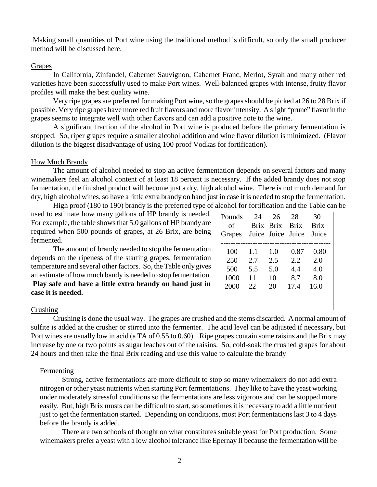Making small quantities of Port wine using the traditional method is difficult, so only the small producer method will be discussed here.

### Grapes

In California, Zinfandel, Cabernet Sauvignon, Cabernet Franc, Merlot, Syrah and many other red varieties have been successfully used to make Port wines. Well-balanced grapes with intense, fruity flavor profiles will make the best quality wine.

Very ripe grapes are preferred for making Port wine, so the grapes should be picked at 26 to 28 Brix if possible. Very ripe grapes have more red fruit flavors and more flavor intensity. A slight "prune" flavor in the grapes seems to integrate well with other flavors and can add a positive note to the wine.

A significant fraction of the alcohol in Port wine is produced before the primary fermentation is stopped. So, riper grapes require a smaller alcohol addition and wine flavor dilution is minimized. (Flavor dilution is the biggest disadvantage of using 100 proof Vodkas for fortification).

### How Much Brandy

The amount of alcohol needed to stop an active fermentation depends on several factors and many winemakers feel an alcohol content of at least 18 percent is necessary. If the added brandy does not stop fermentation, the finished product will become just a dry, high alcohol wine. There is not much demand for dry, high alcohol wines, so have a little extra brandy on hand just in case it is needed to stop the fermentation.

High proof (180 to 190) brandy is the preferred type of alcohol for fortification and the Table can be used to estimate how many gallons of HP brandy is needed. For example, the table shows that 5.0 gallons of HP brandy are required when 500 pounds of grapes, at 26 Brix, are being fermented.

The amount of brandy needed to stop the fermentation depends on the ripeness of the starting grapes, fermentation temperature and several other factors. So, the Table only gives an estimate of how much bandy is needed to stop fermentation. **Play safe and have a little extra brandy on hand just in case it is needed.** 

| Pounds | 24                | 26        | 28          | 30          |
|--------|-------------------|-----------|-------------|-------------|
| of     |                   | Brix Brix | <b>Brix</b> | <b>Brix</b> |
| Grapes | Juice Juice Juice |           |             | Juice       |
|        |                   |           |             |             |
| 100    | 1.1               | 1.0       | 0.87        | 0.80        |
| 250    | 2.7               | 2.5       | 2.2.        | 2.0         |
| 500    | 5.5               | 5.0       | 4.4         | 4.0         |
| 1000   | 11                | 10        | 8.7         | 8.0         |
| 2000   | 22.               | 20        | 17.4        | 16.0        |
|        |                   |           |             |             |
|        |                   |           |             |             |

#### Crushing

Crushing is done the usual way. The grapes are crushed and the stems discarded. A normal amount of sulfite is added at the crusher or stirred into the fermenter. The acid level can be adjusted if necessary, but Port wines are usually low in acid (a TA of 0.55 to 0.60). Ripe grapes contain some raisins and the Brix may increase by one or two points as sugar leaches out of the raisins. So, cold-soak the crushed grapes for about 24 hours and then take the final Brix reading and use this value to calculate the brandy

## Fermenting

Strong, active fermentations are more difficult to stop so many winemakers do not add extra nitrogen or other yeast nutrients when starting Port fermentations. They like to have the yeast working under moderately stressful conditions so the fermentations are less vigorous and can be stopped more easily. But, high Brix musts can be difficult to start, so sometimes it is necessary to add a little nutrient just to get the fermentation started. Depending on conditions, most Port fermentations last 3 to 4 days before the brandy is added.

There are two schools of thought on what constitutes suitable yeast for Port production. Some winemakers prefer a yeast with a low alcohol tolerance like Epernay II because the fermentation will be